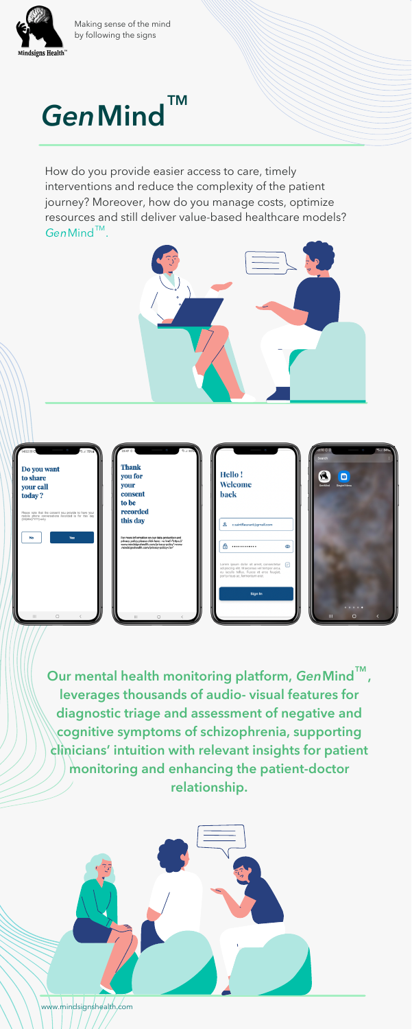

Making sense of the mind by following the signs

# $GenMind^{\text{TM}}$

How do you provide easier access to care, timely interventions and reduce the complexity of the patient journey? Moreover, how do you manage costs, optimize resources and still deliver value-based healthcare models?  $Gen$ Mind $<sup>TM</sup>$ .</sup>



| 74:52 回C<br><b>℃.⊿ 75%自己</b><br>$\sim$<br>Do you want<br>to share<br>your call<br>today?<br>Please note that the consent you provide to have your<br>mobile phone conversations recorded is for this day<br>(DD,MM,YYYY) only. | 23:47 C C<br>→ 150%<br><b>Children</b><br><b>Thank</b><br>you for<br>your<br>consent<br>to be<br>recorded<br>this day                                                                          | Hello!<br>Welcome<br>11<br>back                                                                                                                                                                                                            | $13.10 \cup 1$<br>31.110476<br>$\sqrt{2}$<br>Search<br>R<br>$\blacksquare$<br>GenMind<br>Singtel Menu |
|--------------------------------------------------------------------------------------------------------------------------------------------------------------------------------------------------------------------------------|------------------------------------------------------------------------------------------------------------------------------------------------------------------------------------------------|--------------------------------------------------------------------------------------------------------------------------------------------------------------------------------------------------------------------------------------------|-------------------------------------------------------------------------------------------------------|
| Yes<br>No                                                                                                                                                                                                                      | For more information on our data protection and<br>privacy policy please click here : «a href="https://<br>www.mindsignshealth.com/privacy-policy">www<br>.mindsignshealth.com/privacy-policy" | ≗<br>c.saintfleurant@gmail.com<br>А<br><br>ത<br>Lorem ipsum dolor sit amet, consectetur<br>$\sim$<br>adipiscing elit. Maecenas vel tempor arcu,<br>eu iaculis tellus. Fusce et eros feugiat,<br>porta risus ac, fermentum erat.<br>Sign In |                                                                                                       |

www.mindsignshealth.com

Our mental health monitoring platform, GenMind  $\textcolor{red}{\mathsf{TM}}$  , leverages thousands of audio- visual features for diagnostic triage and assessment of negative and cognitive symptoms of schizophrenia, supporting clinicians' intuition with relevant insights for patient monitoring and enhancing the patient-doctor relationship.

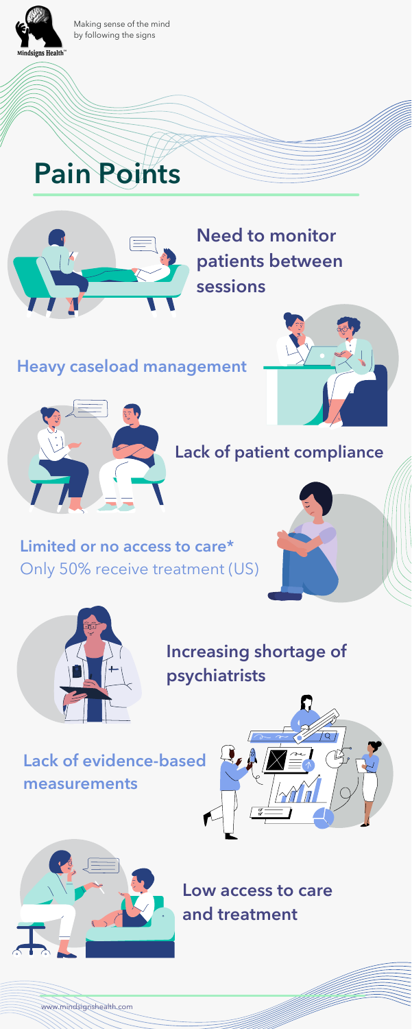#### Lack of evidence-based measurements





### Need to monitor patients between sessions

# Pain Points





#### Limited or no access to care\* Only 50% receive treatment (US)





Increasing shortage of psychiatrists

#### Lack of patient compliance

#### Heavy caseload management





www.mindsignshealth.com

Low access to care and treatment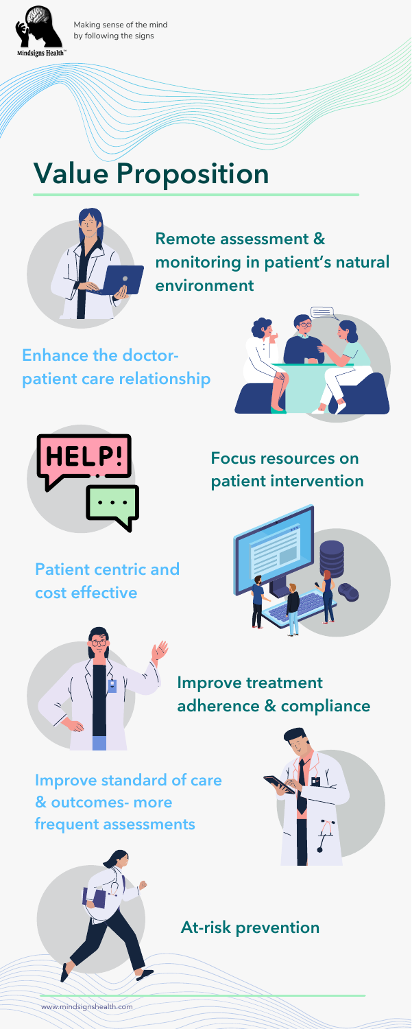# Value Proposition





Focus resources on patient intervention





Remote assessment & monitoring in patient's natural environment

#### Improve treatment adherence & compliance

Enhance the doctorpatient care relationship





www.mindsignshealth.com

Patient centric and cost effective

#### Improve standard of care & outcomes- more frequent assessments



#### At-risk prevention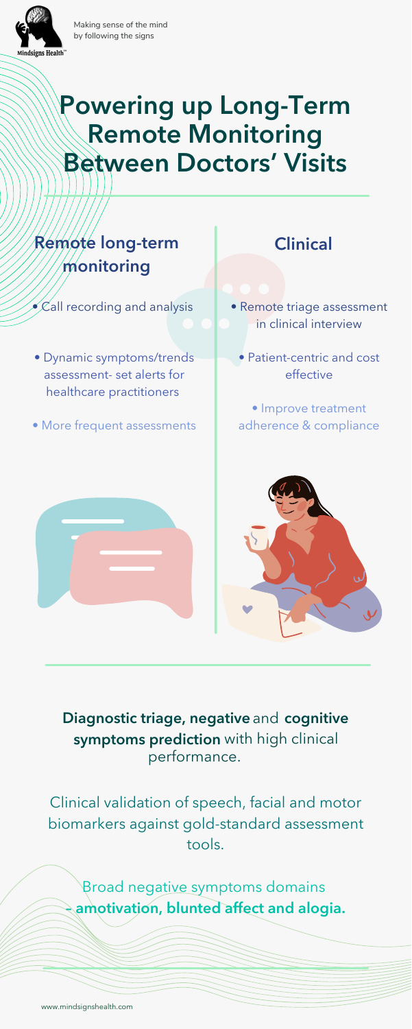

# Powering up Long-Term Remote Monitoring Between Doctors' Visits



Making sense of the mind by following the signs

#### Remote long-term monitoring

 $\bullet\mathcal{C}$ all recording and analysis

• Dynamic symptoms/trends assessment- set alerts for healthcare practitioners

• More frequent assessments

Broad negative symptoms domains amotivation, blunted affect and alogia.

Diagnostic triage, negative and cognitive symptoms prediction with high clinical performance.

- Remote triage assessment in clinical interview
	- Patient-centric and cost effective
	- Improve treatment adherence & compliance







Clinical validation of speech, facial and motor biomarkers against gold-standard assessment tools.